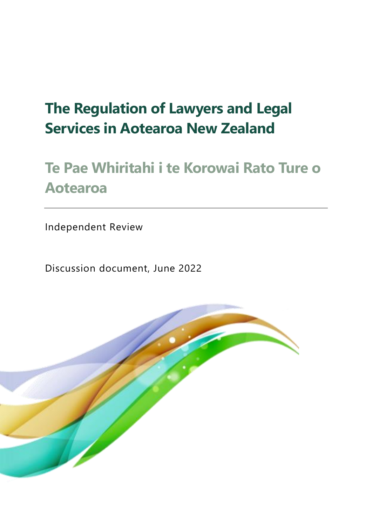# **The Regulation of Lawyers and Legal Services in Aotearoa New Zealand**

# **Te Pae Whiritahi i te Korowai Rato Ture o Aotearoa**

Independent Review

Discussion document, June 2022

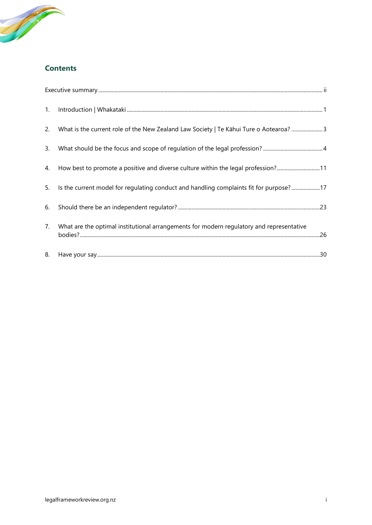

#### **Contents**

| 1. |                                                                                          |
|----|------------------------------------------------------------------------------------------|
| 2. | What is the current role of the New Zealand Law Society   Te Kāhui Ture o Aotearoa?  3   |
| 3. |                                                                                          |
| 4. | How best to promote a positive and diverse culture within the legal profession?11        |
| 5. | Is the current model for regulating conduct and handling complaints fit for purpose?17   |
| 6. |                                                                                          |
| 7. | What are the optimal institutional arrangements for modern regulatory and representative |
| 8. |                                                                                          |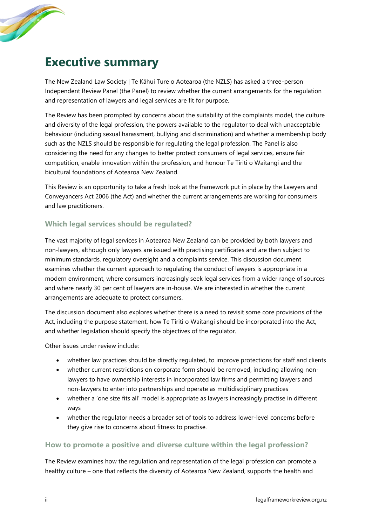

# <span id="page-2-0"></span>**Executive summary**

The New Zealand Law Society | Te Kāhui Ture o Aotearoa (the NZLS) has asked a three-person Independent Review Panel (the Panel) to review whether the current arrangements for the regulation and representation of lawyers and legal services are fit for purpose.

The Review has been prompted by concerns about the suitability of the complaints model, the culture and diversity of the legal profession, the powers available to the regulator to deal with unacceptable behaviour (including sexual harassment, bullying and discrimination) and whether a membership body such as the NZLS should be responsible for regulating the legal profession. The Panel is also considering the need for any changes to better protect consumers of legal services, ensure fair competition, enable innovation within the profession, and honour Te Tiriti o Waitangi and the bicultural foundations of Aotearoa New Zealand.

This Review is an opportunity to take a fresh look at the framework put in place by the Lawyers and Conveyancers Act 2006 (the Act) and whether the current arrangements are working for consumers and law practitioners.

#### **Which legal services should be regulated?**

The vast majority of legal services in Aotearoa New Zealand can be provided by both lawyers and non-lawyers, although only lawyers are issued with practising certificates and are then subject to minimum standards, regulatory oversight and a complaints service. This discussion document examines whether the current approach to regulating the conduct of lawyers is appropriate in a modern environment, where consumers increasingly seek legal services from a wider range of sources and where nearly 30 per cent of lawyers are in-house. We are interested in whether the current arrangements are adequate to protect consumers.

The discussion document also explores whether there is a need to revisit some core provisions of the Act, including the purpose statement, how Te Tiriti o Waitangi should be incorporated into the Act, and whether legislation should specify the objectives of the regulator.

Other issues under review include:

- whether law practices should be directly regulated, to improve protections for staff and clients
- whether current restrictions on corporate form should be removed, including allowing nonlawyers to have ownership interests in incorporated law firms and permitting lawyers and non-lawyers to enter into partnerships and operate as multidisciplinary practices
- whether a 'one size fits all' model is appropriate as lawyers increasingly practise in different ways
- whether the regulator needs a broader set of tools to address lower-level concerns before they give rise to concerns about fitness to practise.

#### **How to promote a positive and diverse culture within the legal profession?**

The Review examines how the regulation and representation of the legal profession can promote a healthy culture – one that reflects the diversity of Aotearoa New Zealand, supports the health and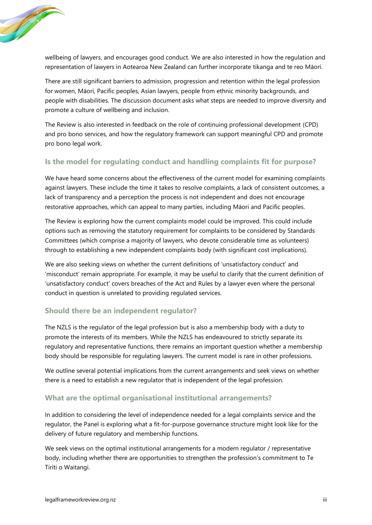

wellbeing of lawyers, and encourages good conduct. We are also interested in how the regulation and representation of lawyers in Aotearoa New Zealand can further incorporate tikanga and te reo Māori.

There are still significant barriers to admission, progression and retention within the legal profession for women, Māori, Pacific peoples, Asian lawyers, people from ethnic minority backgrounds, and people with disabilities. The discussion document asks what steps are needed to improve diversity and promote a culture of wellbeing and inclusion.

The Review is also interested in feedback on the role of continuing professional development (CPD) and pro bono services, and how the regulatory framework can support meaningful CPD and promote pro bono legal work.

#### **Is the model for regulating conduct and handling complaints fit for purpose?**

We have heard some concerns about the effectiveness of the current model for examining complaints against lawyers. These include the time it takes to resolve complaints, a lack of consistent outcomes, a lack of transparency and a perception the process is not independent and does not encourage restorative approaches, which can appeal to many parties, including Māori and Pacific peoples.

The Review is exploring how the current complaints model could be improved. This could include options such as removing the statutory requirement for complaints to be considered by Standards Committees (which comprise a majority of lawyers, who devote considerable time as volunteers) through to establishing a new independent complaints body (with significant cost implications).

We are also seeking views on whether the current definitions of 'unsatisfactory conduct' and 'misconduct' remain appropriate. For example, it may be useful to clarify that the current definition of 'unsatisfactory conduct' covers breaches of the Act and Rules by a lawyer even where the personal conduct in question is unrelated to providing regulated services.

#### **Should there be an independent regulator?**

The NZLS is the regulator of the legal profession but is also a membership body with a duty to promote the interests of its members. While the NZLS has endeavoured to strictly separate its regulatory and representative functions, there remains an important question whether a membership body should be responsible for regulating lawyers. The current model is rare in other professions.

We outline several potential implications from the current arrangements and seek views on whether there is a need to establish a new regulator that is independent of the legal profession.

#### **What are the optimal organisational institutional arrangements?**

In addition to considering the level of independence needed for a legal complaints service and the regulator, the Panel is exploring what a fit-for-purpose governance structure might look like for the delivery of future regulatory and membership functions.

We seek views on the optimal institutional arrangements for a modern regulator / representative body, including whether there are opportunities to strengthen the profession's commitment to Te Tiriti o Waitangi.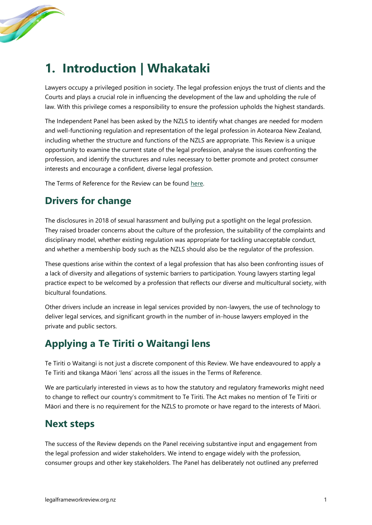

# <span id="page-4-0"></span>**1. Introduction | Whakataki**

Lawyers occupy a privileged position in society. The legal profession enjoys the trust of clients and the Courts and plays a crucial role in influencing the development of the law and upholding the rule of law. With this privilege comes a responsibility to ensure the profession upholds the highest standards.

The Independent Panel has been asked by the NZLS to identify what changes are needed for modern and well-functioning regulation and representation of the legal profession in Aotearoa New Zealand, including whether the structure and functions of the NZLS are appropriate. This Review is a unique opportunity to examine the current state of the legal profession, analyse the issues confronting the profession, and identify the structures and rules necessary to better promote and protect consumer interests and encourage a confident, diverse legal profession.

The Terms of Reference for the Review can be found [here.](https://legalframeworkreview.org.nz/terms-of-reference/)

## **Drivers for change**

The disclosures in 2018 of sexual harassment and bullying put a spotlight on the legal profession. They raised broader concerns about the culture of the profession, the suitability of the complaints and disciplinary model, whether existing regulation was appropriate for tackling unacceptable conduct, and whether a membership body such as the NZLS should also be the regulator of the profession.

These questions arise within the context of a legal profession that has also been confronting issues of a lack of diversity and allegations of systemic barriers to participation. Young lawyers starting legal practice expect to be welcomed by a profession that reflects our diverse and multicultural society, with bicultural foundations.

Other drivers include an increase in legal services provided by non-lawyers, the use of technology to deliver legal services, and significant growth in the number of in-house lawyers employed in the private and public sectors.

## **Applying a Te Tiriti o Waitangi lens**

Te Tiriti o Waitangi is not just a discrete component of this Review. We have endeavoured to apply a Te Tiriti and tikanga Māori 'lens' across all the issues in the Terms of Reference.

We are particularly interested in views as to how the statutory and regulatory frameworks might need to change to reflect our country's commitment to Te Tiriti. The Act makes no mention of Te Tiriti or Māori and there is no requirement for the NZLS to promote or have regard to the interests of Māori.

## **Next steps**

The success of the Review depends on the Panel receiving substantive input and engagement from the legal profession and wider stakeholders. We intend to engage widely with the profession, consumer groups and other key stakeholders. The Panel has deliberately not outlined any preferred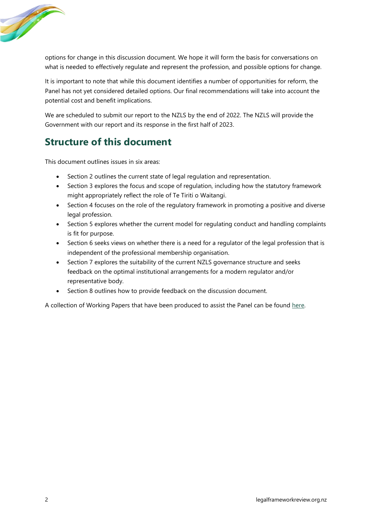

options for change in this discussion document. We hope it will form the basis for conversations on what is needed to effectively regulate and represent the profession, and possible options for change.

It is important to note that while this document identifies a number of opportunities for reform, the Panel has not yet considered detailed options. Our final recommendations will take into account the potential cost and benefit implications.

We are scheduled to submit our report to the NZLS by the end of 2022. The NZLS will provide the Government with our report and its response in the first half of 2023.

## **Structure of this document**

This document outlines issues in six areas:

- Section 2 outlines the current state of legal regulation and representation.
- Section 3 explores the focus and scope of regulation, including how the statutory framework might appropriately reflect the role of Te Tiriti o Waitangi.
- Section 4 focuses on the role of the regulatory framework in promoting a positive and diverse legal profession.
- Section 5 explores whether the current model for regulating conduct and handling complaints is fit for purpose.
- Section 6 seeks views on whether there is a need for a regulator of the legal profession that is independent of the professional membership organisation.
- Section 7 explores the suitability of the current NZLS governance structure and seeks feedback on the optimal institutional arrangements for a modern regulator and/or representative body.
- Section 8 outlines how to provide feedback on the discussion document.

A collection of Working Papers that have been produced to assist the Panel can be found [here.](https://legalframeworkreview.org.nz/independent-legal-review-resources/)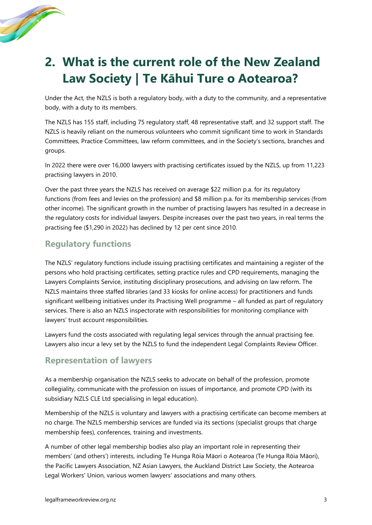

# <span id="page-6-0"></span>**2. What is the current role of the New Zealand Law Society | Te Kāhui Ture o Aotearoa?**

Under the Act, the NZLS is both a regulatory body, with a duty to the community, and a representative body, with a duty to its members.

The NZLS has 155 staff, including 75 regulatory staff, 48 representative staff, and 32 support staff. The NZLS is heavily reliant on the numerous volunteers who commit significant time to work in Standards Committees, Practice Committees, law reform committees, and in the Society's sections, branches and groups.

In 2022 there were over 16,000 lawyers with practising certificates issued by the NZLS, up from 11,223 practising lawyers in 2010.

Over the past three years the NZLS has received on average \$22 million p.a. for its regulatory functions (from fees and levies on the profession) and \$8 million p.a. for its membership services (from other income). The significant growth in the number of practising lawyers has resulted in a decrease in the regulatory costs for individual lawyers. Despite increases over the past two years, in real terms the practising fee (\$1,290 in 2022) has declined by 12 per cent since 2010.

### **Regulatory functions**

The NZLS' regulatory functions include issuing practising certificates and maintaining a register of the persons who hold practising certificates, setting practice rules and CPD requirements, managing the Lawyers Complaints Service, instituting disciplinary prosecutions, and advising on law reform. The NZLS maintains three staffed libraries (and 33 kiosks for online access) for practitioners and funds significant wellbeing initiatives under its Practising Well programme – all funded as part of regulatory services. There is also an NZLS inspectorate with responsibilities for monitoring compliance with lawyers' trust account responsibilities.

Lawyers fund the costs associated with regulating legal services through the annual practising fee. Lawyers also incur a levy set by the NZLS to fund the independent Legal Complaints Review Officer.

### **Representation of lawyers**

As a membership organisation the NZLS seeks to advocate on behalf of the profession, promote collegiality, communicate with the profession on issues of importance, and promote CPD (with its subsidiary NZLS CLE Ltd specialising in legal education).

Membership of the NZLS is voluntary and lawyers with a practising certificate can become members at no charge. The NZLS membership services are funded via its sections (specialist groups that charge membership fees), conferences, training and investments.

A number of other legal membership bodies also play an important role in representing their members' (and others') interests, including Te Hunga Rōia Māori o Aotearoa (Te Hunga Rōia Māori), the Pacific Lawyers Association, NZ Asian Lawyers, the Auckland District Law Society, the Aotearoa Legal Workers' Union, various women lawyers' associations and many others.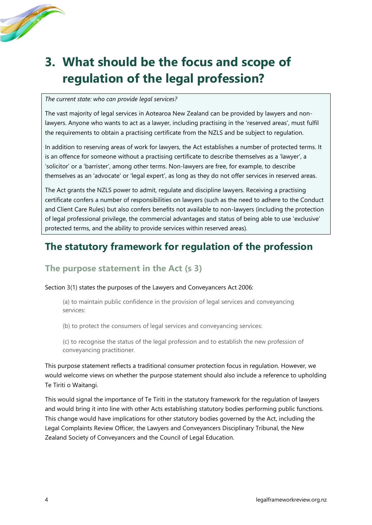

# <span id="page-7-0"></span>**3. What should be the focus and scope of regulation of the legal profession?**

#### *The current state: who can provide legal services?*

The vast majority of legal services in Aotearoa New Zealand can be provided by lawyers and nonlawyers. Anyone who wants to act as a lawyer, including practising in the 'reserved areas', must fulfil the requirements to obtain a practising certificate from the NZLS and be subject to regulation.

In addition to reserving areas of work for lawyers, the Act establishes a number of protected terms. It is an offence for someone without a practising certificate to describe themselves as a 'lawyer', a 'solicitor' or a 'barrister', among other terms. Non-lawyers are free, for example, to describe themselves as an 'advocate' or 'legal expert', as long as they do not offer services in reserved areas.

The Act grants the NZLS power to admit, regulate and discipline lawyers. Receiving a practising certificate confers a number of responsibilities on lawyers (such as the need to adhere to the Conduct and Client Care Rules) but also confers benefits not available to non-lawyers (including the protection of legal professional privilege, the commercial advantages and status of being able to use 'exclusive' protected terms, and the ability to provide services within reserved areas).

## **The statutory framework for regulation of the profession**

### **The purpose statement in the Act (s 3)**

#### Section 3(1) states the purposes of the Lawyers and Conveyancers Act 2006:

(a) to maintain public confidence in the provision of legal services and conveyancing services:

(b) to protect the consumers of legal services and conveyancing services:

(c) to recognise the status of the legal profession and to establish the new profession of conveyancing practitioner.

This purpose statement reflects a traditional consumer protection focus in regulation. However, we would welcome views on whether the purpose statement should also include a reference to upholding Te Tiriti o Waitangi.

This would signal the importance of Te Tiriti in the statutory framework for the regulation of lawyers and would bring it into line with other Acts establishing statutory bodies performing public functions. This change would have implications for other statutory bodies governed by the Act, including the Legal Complaints Review Officer, the Lawyers and Conveyancers Disciplinary Tribunal, the New Zealand Society of Conveyancers and the Council of Legal Education.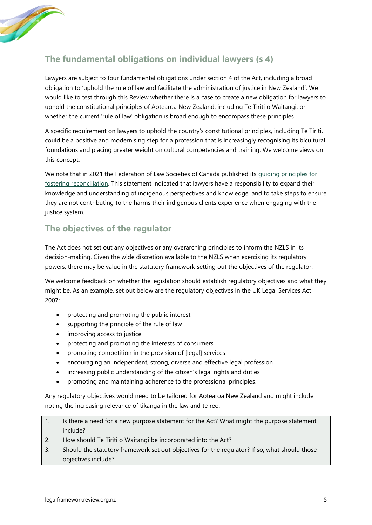

## **The fundamental obligations on individual lawyers (s 4)**

Lawyers are subject to four fundamental obligations under section 4 of the Act, including a broad obligation to 'uphold the rule of law and facilitate the administration of justice in New Zealand'. We would like to test through this Review whether there is a case to create a new obligation for lawyers to uphold the constitutional principles of Aotearoa New Zealand, including Te Tiriti o Waitangi, or whether the current 'rule of law' obligation is broad enough to encompass these principles.

A specific requirement on lawyers to uphold the country's constitutional principles, including Te Tiriti, could be a positive and modernising step for a profession that is increasingly recognising its bicultural foundations and placing greater weight on cultural competencies and training. We welcome views on this concept.

We note that in 2021 the Federation of Law Societies of Canada published its guiding principles for [fostering reconciliation.](https://flsc.ca/wp-content/uploads/2021/05/Guiding-Principles-for-Fostering-Reconciliation-2.pdf) This statement indicated that lawyers have a responsibility to expand their knowledge and understanding of indigenous perspectives and knowledge, and to take steps to ensure they are not contributing to the harms their indigenous clients experience when engaging with the justice system.

### **The objectives of the regulator**

The Act does not set out any objectives or any overarching principles to inform the NZLS in its decision-making. Given the wide discretion available to the NZLS when exercising its regulatory powers, there may be value in the statutory framework setting out the objectives of the regulator.

We welcome feedback on whether the legislation should establish regulatory objectives and what they might be. As an example, set out below are the regulatory objectives in the UK Legal Services Act 2007:

- protecting and promoting the public interest
- supporting the principle of the rule of law
- improving access to justice
- protecting and promoting the interests of consumers
- promoting competition in the provision of [legal] services
- encouraging an independent, strong, diverse and effective legal profession
- increasing public understanding of the citizen's legal rights and duties
- promoting and maintaining adherence to the professional principles.

Any regulatory objectives would need to be tailored for Aotearoa New Zealand and might include noting the increasing relevance of tikanga in the law and te reo.

- 1. Is there a need for a new purpose statement for the Act? What might the purpose statement include?
- 2. How should Te Tiriti o Waitangi be incorporated into the Act?
- 3. Should the statutory framework set out objectives for the regulator? If so, what should those objectives include?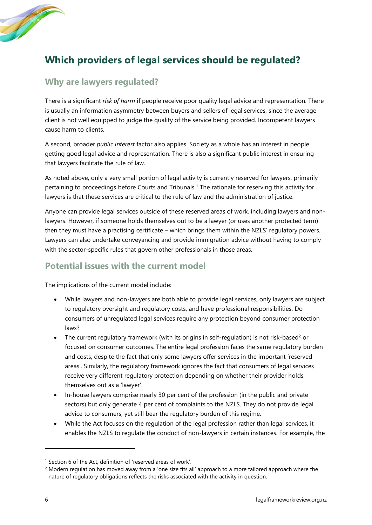

## **Which providers of legal services should be regulated?**

### **Why are lawyers regulated?**

There is a significant *risk of harm* if people receive poor quality legal advice and representation. There is usually an information asymmetry between buyers and sellers of legal services, since the average client is not well equipped to judge the quality of the service being provided. Incompetent lawyers cause harm to clients.

A second, broader *public interest* factor also applies. Society as a whole has an interest in people getting good legal advice and representation. There is also a significant public interest in ensuring that lawyers facilitate the rule of law.

As noted above, only a very small portion of legal activity is currently reserved for lawyers, primarily pertaining to proceedings before Courts and Tribunals.<sup>1</sup> The rationale for reserving this activity for lawyers is that these services are critical to the rule of law and the administration of justice.

Anyone can provide legal services outside of these reserved areas of work, including lawyers and nonlawyers. However, if someone holds themselves out to be a lawyer (or uses another protected term) then they must have a practising certificate – which brings them within the NZLS' regulatory powers. Lawyers can also undertake conveyancing and provide immigration advice without having to comply with the sector-specific rules that govern other professionals in those areas.

#### **Potential issues with the current model**

The implications of the current model include:

- While lawyers and non-lawyers are both able to provide legal services, only lawyers are subject to regulatory oversight and regulatory costs, and have professional responsibilities. Do consumers of unregulated legal services require any protection beyond consumer protection laws?
- The current regulatory framework (with its origins in self-regulation) is not risk-based<sup>2</sup> or focused on consumer outcomes. The entire legal profession faces the same regulatory burden and costs, despite the fact that only some lawyers offer services in the important 'reserved areas'. Similarly, the regulatory framework ignores the fact that consumers of legal services receive very different regulatory protection depending on whether their provider holds themselves out as a 'lawyer'.
- In-house lawyers comprise nearly 30 per cent of the profession (in the public and private sectors) but only generate 4 per cent of complaints to the NZLS. They do not provide legal advice to consumers, yet still bear the regulatory burden of this regime.
- While the Act focuses on the regulation of the legal profession rather than legal services, it enables the NZLS to regulate the conduct of non-lawyers in certain instances. For example, the

<sup>&</sup>lt;sup>1</sup> Section 6 of the Act, definition of 'reserved areas of work'.

<sup>&</sup>lt;sup>2</sup> Modern regulation has moved away from a 'one size fits all' approach to a more tailored approach where the nature of regulatory obligations reflects the risks associated with the activity in question.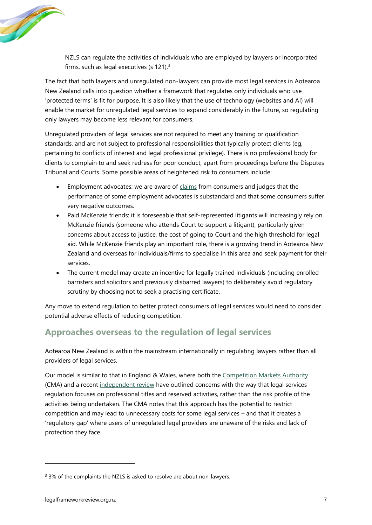

NZLS can regulate the activities of individuals who are employed by lawyers or incorporated firms, such as legal executives (s  $121$ ).<sup>3</sup>

The fact that both lawyers and unregulated non-lawyers can provide most legal services in Aotearoa New Zealand calls into question whether a framework that regulates only individuals who use 'protected terms' is fit for purpose. It is also likely that the use of technology (websites and AI) will enable the market for unregulated legal services to expand considerably in the future, so regulating only lawyers may become less relevant for consumers.

Unregulated providers of legal services are not required to meet any training or qualification standards, and are not subject to professional responsibilities that typically protect clients (eg, pertaining to conflicts of interest and legal professional privilege). There is no professional body for clients to complain to and seek redress for poor conduct, apart from proceedings before the Disputes Tribunal and Courts. Some possible areas of heightened risk to consumers include:

- Employment advocates: we are aware of  $\frac{claims}{$  from consumers and judges that the performance of some employment advocates is substandard and that some consumers suffer very negative outcomes.
- Paid McKenzie friends: it is foreseeable that self-represented litigants will increasingly rely on McKenzie friends (someone who attends Court to support a litigant), particularly given concerns about access to justice, the cost of going to Court and the high threshold for legal aid. While McKenzie friends play an important role, there is a growing trend in Aotearoa New Zealand and overseas for individuals/firms to specialise in this area and seek payment for their services.
- The current model may create an incentive for legally trained individuals (including enrolled barristers and solicitors and previously disbarred lawyers) to deliberately avoid regulatory scrutiny by choosing not to seek a practising certificate.

Any move to extend regulation to better protect consumers of legal services would need to consider potential adverse effects of reducing competition.

## **Approaches overseas to the regulation of legal services**

Aotearoa New Zealand is within the mainstream internationally in regulating lawyers rather than all providers of legal services.

Our model is similar to that in England & Wales, where both the [Competition Markets Authority](https://assets.publishing.service.gov.uk/media/5fd9e53cd3bf7f40ccb335e1/Legal_Services_Review_-_Final_report.pdf) (CMA) and a recent [independent review](https://www.ucl.ac.uk/ethics-law/sites/ethics_law/files/irlsr_final_report_final_0.pdf) have outlined concerns with the way that legal services regulation focuses on professional titles and reserved activities, rather than the risk profile of the activities being undertaken. The CMA notes that this approach has the potential to restrict competition and may lead to unnecessary costs for some legal services – and that it creates a 'regulatory gap' where users of unregulated legal providers are unaware of the risks and lack of protection they face.

<sup>&</sup>lt;sup>3</sup> 3% of the complaints the NZLS is asked to resolve are about non-lawyers.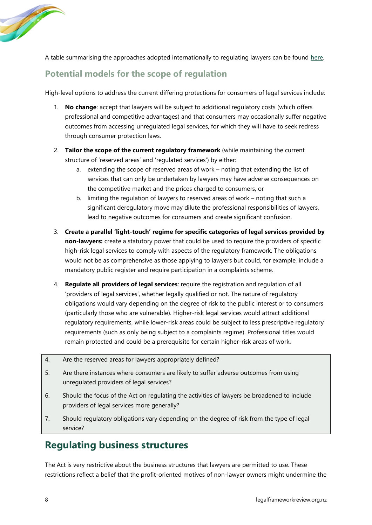

A table summarising the approaches adopted internationally to regulating lawyers can be found [here.](https://legalframeworkreview.org.nz/wp-content/uploads/2022/06/WP1-table-of-international-regulatory-approaches.pdf)

## **Potential models for the scope of regulation**

High-level options to address the current differing protections for consumers of legal services include:

- 1. **No change**: accept that lawyers will be subject to additional regulatory costs (which offers professional and competitive advantages) and that consumers may occasionally suffer negative outcomes from accessing unregulated legal services, for which they will have to seek redress through consumer protection laws.
- 2. **Tailor the scope of the current regulatory framework** (while maintaining the current structure of 'reserved areas' and 'regulated services') by either:
	- a. extending the scope of reserved areas of work noting that extending the list of services that can only be undertaken by lawyers may have adverse consequences on the competitive market and the prices charged to consumers, or
	- b. limiting the regulation of lawyers to reserved areas of work noting that such a significant deregulatory move may dilute the professional responsibilities of lawyers, lead to negative outcomes for consumers and create significant confusion.
- 3. **Create a parallel 'light-touch' regime for specific categories of legal services provided by non-lawyers:** create a statutory power that could be used to require the providers of specific high-risk legal services to comply with aspects of the regulatory framework. The obligations would not be as comprehensive as those applying to lawyers but could, for example, include a mandatory public register and require participation in a complaints scheme.
- 4. **Regulate all providers of legal services**: require the registration and regulation of all 'providers of legal services', whether legally qualified or not. The nature of regulatory obligations would vary depending on the degree of risk to the public interest or to consumers (particularly those who are vulnerable). Higher-risk legal services would attract additional regulatory requirements, while lower-risk areas could be subject to less prescriptive regulatory requirements (such as only being subject to a complaints regime). Professional titles would remain protected and could be a prerequisite for certain higher-risk areas of work.
- 4. Are the reserved areas for lawyers appropriately defined?
- 5. Are there instances where consumers are likely to suffer adverse outcomes from using unregulated providers of legal services?
- 6. Should the focus of the Act on regulating the activities of lawyers be broadened to include providers of legal services more generally?
- 7. Should regulatory obligations vary depending on the degree of risk from the type of legal service?

## **Regulating business structures**

The Act is very restrictive about the business structures that lawyers are permitted to use. These restrictions reflect a belief that the profit-oriented motives of non-lawyer owners might undermine the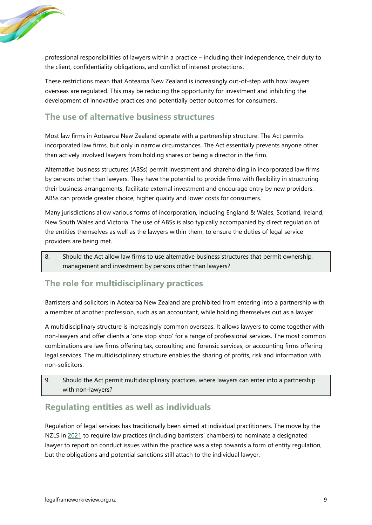

professional responsibilities of lawyers within a practice – including their independence, their duty to the client, confidentiality obligations, and conflict of interest protections.

These restrictions mean that Aotearoa New Zealand is increasingly out-of-step with how lawyers overseas are regulated. This may be reducing the opportunity for investment and inhibiting the development of innovative practices and potentially better outcomes for consumers.

### **The use of alternative business structures**

Most law firms in Aotearoa New Zealand operate with a partnership structure. The Act permits incorporated law firms, but only in narrow circumstances. The Act essentially prevents anyone other than actively involved lawyers from holding shares or being a director in the firm.

Alternative business structures (ABSs) permit investment and shareholding in incorporated law firms by persons other than lawyers. They have the potential to provide firms with flexibility in structuring their business arrangements, facilitate external investment and encourage entry by new providers. ABSs can provide greater choice, higher quality and lower costs for consumers.

Many jurisdictions allow various forms of incorporation, including England & Wales, Scotland, Ireland, New South Wales and Victoria. The use of ABSs is also typically accompanied by direct regulation of the entities themselves as well as the lawyers within them, to ensure the duties of legal service providers are being met.

8. Should the Act allow law firms to use alternative business structures that permit ownership, management and investment by persons other than lawyers?

### **The role for multidisciplinary practices**

Barristers and solicitors in Aotearoa New Zealand are prohibited from entering into a partnership with a member of another profession, such as an accountant, while holding themselves out as a lawyer.

A multidisciplinary structure is increasingly common overseas. It allows lawyers to come together with non-lawyers and offer clients a 'one stop shop' for a range of professional services. The most common combinations are law firms offering tax, consulting and forensic services, or accounting firms offering legal services. The multidisciplinary structure enables the sharing of profits, risk and information with non-solicitors.

9. Should the Act permit multidisciplinary practices, where lawyers can enter into a partnership with non-lawyers?

### **Regulating entities as well as individuals**

Regulation of legal services has traditionally been aimed at individual practitioners. The move by the NZLS in [2021](https://www.lawsociety.org.nz/professional-practice/rules-and-maintaining-professional-standards/responsibilities-of-the-designated-lawyer/) to require law practices (including barristers' chambers) to nominate a designated lawyer to report on conduct issues within the practice was a step towards a form of entity regulation, but the obligations and potential sanctions still attach to the individual lawyer.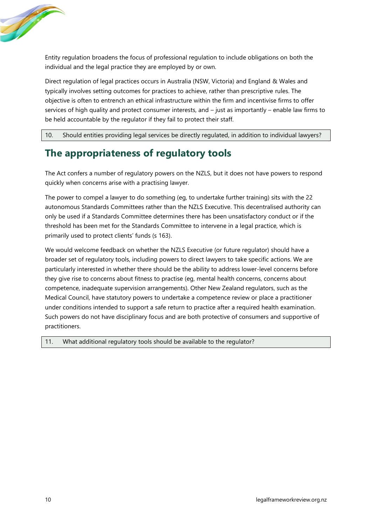

Entity regulation broadens the focus of professional regulation to include obligations on both the individual and the legal practice they are employed by or own.

Direct regulation of legal practices occurs in Australia (NSW, Victoria) and England & Wales and typically involves setting outcomes for practices to achieve, rather than prescriptive rules. The objective is often to entrench an ethical infrastructure within the firm and incentivise firms to offer services of high quality and protect consumer interests, and – just as importantly – enable law firms to be held accountable by the regulator if they fail to protect their staff.

10. Should entities providing legal services be directly regulated, in addition to individual lawyers?

## **The appropriateness of regulatory tools**

The Act confers a number of regulatory powers on the NZLS, but it does not have powers to respond quickly when concerns arise with a practising lawyer.

The power to compel a lawyer to do something (eg, to undertake further training) sits with the 22 autonomous Standards Committees rather than the NZLS Executive. This decentralised authority can only be used if a Standards Committee determines there has been unsatisfactory conduct or if the threshold has been met for the Standards Committee to intervene in a legal practice, which is primarily used to protect clients' funds (s 163).

We would welcome feedback on whether the NZLS Executive (or future regulator) should have a broader set of regulatory tools, including powers to direct lawyers to take specific actions. We are particularly interested in whether there should be the ability to address lower-level concerns before they give rise to concerns about fitness to practise (eg, mental health concerns, concerns about competence, inadequate supervision arrangements). Other New Zealand regulators, such as the Medical Council, have statutory powers to undertake a competence review or place a practitioner under conditions intended to support a safe return to practice after a required health examination. Such powers do not have disciplinary focus and are both protective of consumers and supportive of practitioners.

11. What additional regulatory tools should be available to the regulator?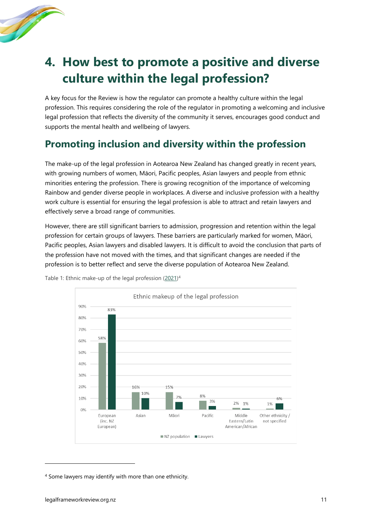

# <span id="page-14-0"></span>**4. How best to promote a positive and diverse culture within the legal profession?**

A key focus for the Review is how the regulator can promote a healthy culture within the legal profession. This requires considering the role of the regulator in promoting a welcoming and inclusive legal profession that reflects the diversity of the community it serves, encourages good conduct and supports the mental health and wellbeing of lawyers.

## **Promoting inclusion and diversity within the profession**

The make-up of the legal profession in Aotearoa New Zealand has changed greatly in recent years, with growing numbers of women, Māori, Pacific peoples, Asian lawyers and people from ethnic minorities entering the profession. There is growing recognition of the importance of welcoming Rainbow and gender diverse people in workplaces. A diverse and inclusive profession with a healthy work culture is essential for ensuring the legal profession is able to attract and retain lawyers and effectively serve a broad range of communities.

However, there are still significant barriers to admission, progression and retention within the legal profession for certain groups of lawyers. These barriers are particularly marked for women, Māori, Pacific peoples, Asian lawyers and disabled lawyers. It is difficult to avoid the conclusion that parts of the profession have not moved with the times, and that significant changes are needed if the profession is to better reflect and serve the diverse population of Aotearoa New Zealand.



Table 1: Ethnic make-up of the legal profession [\(2021\)](https://www.lawsociety.org.nz/assets/About-Us-Documents/Annual-Reports/Snapshot-of-Legal-Profession/Snapshot-of-the-New-Zealand-Legal-Profession-2021.pdf)<sup>4</sup>

<sup>4</sup> Some lawyers may identify with more than one ethnicity.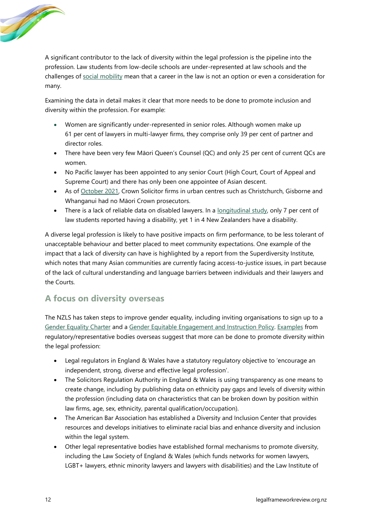

A significant contributor to the lack of diversity within the legal profession is the pipeline into the profession. Law students from low-decile schools are under-represented at law schools and the challenges of [social mobility](https://www.ourwordsmatter.co.nz/post/social-mobility-why-it-matters-in-our-workplaces) mean that a career in the law is not an option or even a consideration for many.

Examining the data in detail makes it clear that more needs to be done to promote inclusion and diversity within the profession. For example:

- Women are significantly under-represented in senior roles. Although women make up 61 per cent of lawyers in multi-lawyer firms, they comprise only 39 per cent of partner and director roles.
- There have been very few Māori Queen's Counsel (QC) and only 25 per cent of current QCs are women.
- No Pacific lawyer has been appointed to any senior Court (High Court, Court of Appeal and Supreme Court) and there has only been one appointee of Asian descent.
- As of [October 2021,](https://www.rnz.co.nz/news/is-this-justice/452992/not-a-single-maori-crown-prosecutor-in-christchurch-gisborne-whanganui) Crown Solicitor firms in urban centres such as Christchurch, Gisborne and Whanganui had no Māori Crown prosecutors.
- There is a lack of reliable data on disabled lawyers. In a [longitudinal](https://www.canterbury.ac.nz/media/documents/research/s1403-the-making-of-lawyers.pdf) study, only 7 per cent of law students reported having a disability, yet 1 in 4 New Zealanders have a disability.

A diverse legal profession is likely to have positive impacts on [firm performance,](https://www.mckinsey.com/featured-insights/diversity-and-inclusion/diversity-wins-how-inclusion-matters) to be less tolerant of unacceptable behaviour and better placed to meet community expectations. One example of the impact that a lack of diversity can have is highlighted by a [report](https://www.lawfoundation.org.nz/wp-content/uploads/2019/11/2019_46_6_RESEARCH-REPORT-Embargoed-till-8am-18th-Nov-2019.pdf) from the Superdiversity Institute, which notes that many Asian communities are currently facing access-to-justice issues, in part because of the lack of cultural understanding and language barriers between individuals and their lawyers and the Courts.

## **A focus on diversity overseas**

The NZLS has taken steps to improve gender equality, including inviting organisations to sign up to a [Gender Equality Charter](https://www.lawsociety.org.nz/professional-practice/diversity-and-inclusion/women-in-the-legal-profession/gender-equality-charter/) and a Gender [Equitable Engagement and Instruction Policy.](https://www.lawsociety.org.nz/professional-practice/diversity-and-inclusion/women-in-the-legal-profession/gender-equitable-engagement-and-instruction-policy/#:~:text=The%20Law%20Society%20and%20New,proceedings%20and%20other%20contentious%20matters) [Examples](https://legalframeworkreview.org.nz/wp-content/uploads/2022/06/WP6-diversity-and-inclusion.pdf) from regulatory/representative bodies overseas suggest that more can be done to promote diversity within the legal profession:

- Legal regulators in England & Wales have a statutory regulatory objective to 'encourage an independent, strong, diverse and effective legal profession'.
- The Solicitors Regulation Authority in England & Wales is using transparency as one means to create change, including by publishing data on ethnicity pay gaps and levels of diversity within the profession (including data on characteristics that can be broken down by position within law firms, age, sex, ethnicity, parental qualification/occupation).
- The American Bar Association has established a Diversity and Inclusion Center that provides resources and develops initiatives to eliminate racial bias and enhance diversity and inclusion within the legal system.
- Other legal representative bodies have established formal mechanisms to promote diversity, including the Law Society of England & Wales (which funds networks for women lawyers, LGBT+ lawyers, ethnic minority lawyers and lawyers with disabilities) and the Law Institute of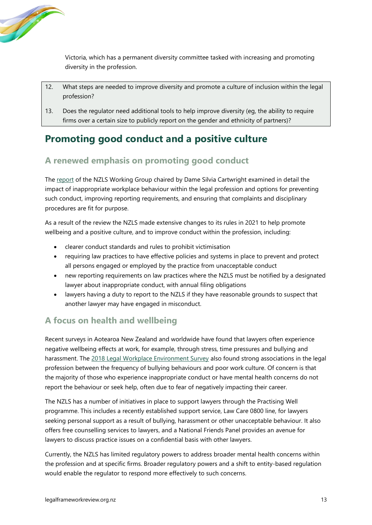

Victoria, which has a permanent diversity committee tasked with increasing and promoting diversity in the profession.

- 12. What steps are needed to improve diversity and promote a culture of inclusion within the legal profession?
- 13. Does the regulator need additional tools to help improve diversity (eg, the ability to require firms over a certain size to publicly report on the gender and ethnicity of partners)?

## **Promoting good conduct and a positive culture**

## **A renewed emphasis on promoting good conduct**

The [report](https://www.lawsociety.org.nz/assets/News-and-publications-documents/Other-Reports/Report-of-the-NZLS-Working-Group-December-2018.pdf) of the NZLS Working Group chaired by Dame Silvia Cartwright examined in detail the impact of inappropriate workplace behaviour within the legal profession and options for preventing such conduct, improving reporting requirements, and ensuring that complaints and disciplinary procedures are fit for purpose.

As a result of the review the NZLS made extensive changes to its rules in 2021 to help promote wellbeing and a positive culture, and to improve conduct within the profession, including:

- clearer conduct standards and rules to prohibit victimisation
- requiring law practices to have effective policies and systems in place to prevent and protect all persons engaged or employed by the practice from unacceptable conduct
- new reporting requirements on law practices where the NZLS must be notified by a designated lawyer about inappropriate conduct, with annual filing obligations
- lawyers having a duty to report to the NZLS if they have reasonable grounds to suspect that another lawyer may have engaged in misconduct.

## **A focus on health and wellbeing**

Recent surveys in Aotearoa New Zealand and worldwide have found that lawyers often experience negative wellbeing effects at work, for example, through stress, time pressures and bullying and harassment. The [2018 Legal Workplace Environment Survey](https://www.lawsociety.org.nz/news/lawtalk/issue-919/the-2018-legal-workplace-environment-survey/) also found strong associations in the legal profession between the frequency of bullying behaviours and poor work culture. Of concern is that the majority of those who experience inappropriate conduct or have mental health concerns do not report the behaviour or seek help, often due to fear of negatively impacting their career.

The NZLS has a number of initiatives in place to support lawyers through the Practising Well programme. This includes a recently established support service, Law Care 0800 line, for lawyers seeking personal support as a result of bullying, harassment or other unacceptable behaviour. It also offers free counselling services to lawyers, and a National Friends Panel provides an avenue for lawyers to discuss practice issues on a confidential basis with other lawyers.

Currently, the NZLS has limited regulatory powers to address broader mental health concerns within the profession and at specific firms. Broader regulatory powers and a shift to entity-based regulation would enable the regulator to respond more effectively to such concerns.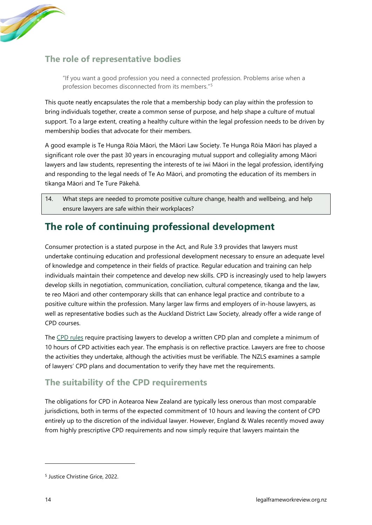

### **The role of representative bodies**

"If you want a good profession you need a connected profession. Problems arise when a profession becomes disconnected from its members."<sup>5</sup>

This quote neatly encapsulates the role that a membership body can play within the profession to bring individuals together, create a common sense of purpose, and help shape a culture of mutual support. To a large extent, creating a healthy culture within the legal profession needs to be driven by membership bodies that advocate for their members.

A good example is Te Hunga Rōia Māori, the Māori Law Society. Te Hunga Rōia Māori has played a significant role over the past 30 years in encouraging mutual support and collegiality among Māori lawyers and law students, representing the interests of te iwi Māori in the legal profession, identifying and responding to the legal needs of Te Ao Māori, and promoting the education of its members in tikanga Māori and Te Ture Pākehā.

14. What steps are needed to promote positive culture change, health and wellbeing, and help ensure lawyers are safe within their workplaces?

## **The role of continuing professional development**

Consumer protection is a stated purpose in the Act, and Rule 3.9 provides that lawyers must undertake continuing education and professional development necessary to ensure an adequate level of knowledge and competence in their fields of practice. Regular education and training can help individuals maintain their competence and develop new skills. CPD is increasingly used to help lawyers develop skills in negotiation, communication, conciliation, cultural competence, tikanga and the law, te reo Māori and other contemporary skills that can enhance legal practice and contribute to a positive culture within the profession. Many larger law firms and employers of in-house lawyers, as well as representative bodies such as the Auckland District Law Society, already offer a wide range of CPD courses.

The [CPD rules](https://www.legislation.govt.nz/regulation/public/2013/0320/latest/DLM5542501.html) require practising lawyers to develop a written CPD plan and complete a minimum of 10 hours of CPD activities each year. The emphasis is on reflective practice. Lawyers are free to choose the activities they undertake, although the activities must be verifiable. The NZLS examines a sample of lawyers' CPD plans and documentation to verify they have met the requirements.

### **The suitability of the CPD requirements**

The obligations for CPD in Aotearoa New Zealand are typically less onerous than most comparable jurisdictions, both in terms of the expected commitment of 10 hours and leaving the content of CPD entirely up to the discretion of the individual lawyer. However, England & Wales recently moved away from highly prescriptive CPD requirements and now simply require that lawyers maintain the

<sup>5</sup> Justice Christine Grice, 2022.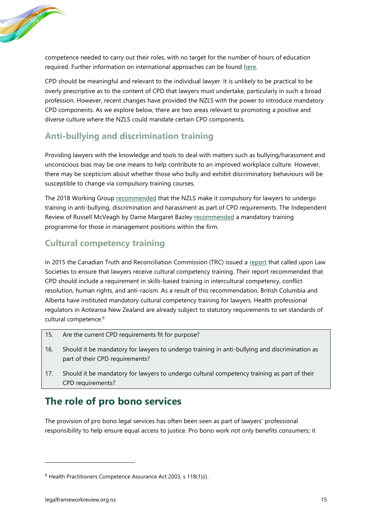

competence needed to carry out their roles, with no target for the number of hours of education required. Further information on international approaches can be found [here.](https://legalframeworkreview.org.nz/wp-content/uploads/2022/06/WP5-approaches-to-CPD.pdf)

CPD should be meaningful and relevant to the individual lawyer. It is unlikely to be practical to be overly prescriptive as to the content of CPD that lawyers must undertake, particularly in such a broad profession. However, recent changes have provided the NZLS with the power to introduce mandatory CPD components. As we explore below, there are two areas relevant to promoting a positive and diverse culture where the NZLS could mandate certain CPD components.

### **Anti-bullying and discrimination training**

Providing lawyers with the knowledge and tools to deal with matters such as bullying/harassment and unconscious bias may be one means to help contribute to an improved workplace culture. However, there may be scepticism about whether those who bully and exhibit discriminatory behaviours will be susceptible to change via compulsory training courses.

The 2018 Working Group [recommended](https://www.lawsociety.org.nz/assets/News-and-publications-documents/Other-Reports/Report-of-the-NZLS-Working-Group-December-2018.pdf) that the NZLS make it compulsory for lawyers to undergo training in anti-bullying, discrimination and harassment as part of CPD requirements. The Independent Review of Russell McVeagh by Dame Margaret Bazley [recommended](https://www.russellmcveagh.com/getmedia/cc682d64-46a1-40e3-987b-cd82223bea24/Independent-Review-of-Russell-McVeagh-2018.pdf/) a mandatory training programme for those in management positions within the firm.

### **Cultural competency training**

In 2015 the Canadian Truth and Reconciliation Commission (TRC) issued a [report](https://ehprnh2mwo3.exactdn.com/wp-content/uploads/2021/01/Executive_Summary_English_Web.pdf) that called upon Law Societies to ensure that lawyers receive cultural competency training. Their report recommended that CPD should include a requirement in skills-based training in intercultural competency, conflict resolution, human rights, and anti-racism. As a result of this recommendation, British Columbia and Alberta have instituted mandatory cultural competency training for lawyers. Health professional regulators in Aotearoa New Zealand are already subject to statutory requirements to set standards of cultural competence.<sup>6</sup>

- 15. Are the current CPD requirements fit for purpose?
- 16. Should it be mandatory for lawyers to undergo training in anti-bullying and discrimination as part of their CPD requirements?
- 17. Should it be mandatory for lawyers to undergo cultural competency training as part of their CPD requirements?

## **The role of pro bono services**

The provision of pro bono legal services has often been seen as part of lawyers' professional responsibility to help ensure equal access to justice. Pro bono work not only benefits consumers; it

 $6$  Health Practitioners Competence Assurance Act 2003, s 118(1)(i).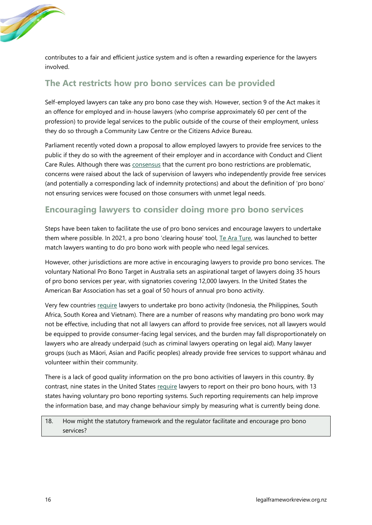

contributes to a fair and efficient justice system and is often a rewarding experience for the lawyers involved.

### **The Act restricts how pro bono services can be provided**

Self-employed lawyers can take any pro bono case they wish. However, section 9 of the Act makes it an offence for employed and in-house lawyers (who comprise approximately 60 per cent of the profession) to provide legal services to the public outside of the course of their employment, unless they do so through a Community Law Centre or the Citizens Advice Bureau.

Parliament recently voted down a proposal to allow employed lawyers to provide free services to the public if they do so with the agreement of their employer and in accordance with Conduct and Client Care Rules. Although there was [consensus](https://www.parliament.nz/resource/en-NZ/SCR_118230/d79dafa658dca4b1fb871f8ae83fb5c58e25fa18) that the current pro bono restrictions are problematic, concerns were raised about the lack of supervision of lawyers who independently provide free services (and potentially a corresponding lack of indemnity protections) and about the definition of 'pro bono' not ensuring services were focused on those consumers with unmet legal needs.

### **Encouraging lawyers to consider doing more pro bono services**

Steps have been taken to facilitate the use of pro bono services and encourage lawyers to undertake them where possible. In 2021, a pro bono 'clearing house' tool, [Te Ara Ture,](https://www.tearature.co.nz/) was launched to better match lawyers wanting to do pro bono work with people who need legal services.

However, other jurisdictions are more active in encouraging lawyers to provide pro bono services. The voluntary National Pro Bono Target in Australia sets an aspirational target of lawyers doing 35 hours of pro bono services per year, with signatories covering 12,000 lawyers. In the United States the American Bar Association has set a goal of 50 hours of annual pro bono activity.

Very few countries [require](https://www.lw.com/admin/Upload/Documents/Global%20Pro%20Bono%20Survey/Survey-Summary-Chart-2019.pdf) lawyers to undertake pro bono activity (Indonesia, the Philippines, South Africa, South Korea and Vietnam). There are a number of reasons why mandating pro bono work may not be effective, including that not all lawyers can afford to provide free services, not all lawyers would be equipped to provide consumer-facing legal services, and the burden may fall disproportionately on lawyers who are already underpaid (such as criminal lawyers operating on legal aid). Many lawyer groups (such as Māori, Asian and Pacific peoples) already provide free services to support whānau and volunteer within their community.

There is a lack of good quality information on the pro bono activities of lawyers in this country. By contrast, nine states in the United States [require](https://www.americanbar.org/groups/probono_public_service/policy/arguments/#:~:text=Share%3A,(voluntary%20pro%20bono%20reporting).) lawyers to report on their pro bono hours, with 13 states having voluntary pro bono reporting systems. Such reporting requirements can help improve the information base, and may change behaviour simply by measuring what is currently being done.

18. How might the statutory framework and the regulator facilitate and encourage pro bono services?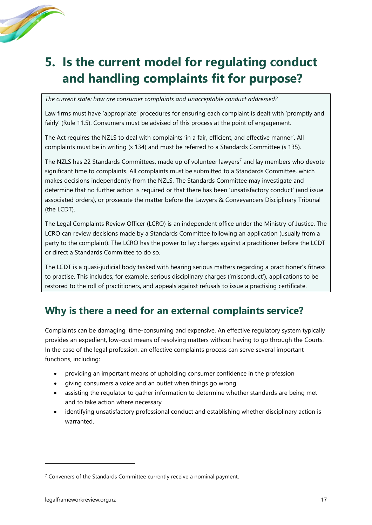

# <span id="page-20-0"></span>**5. Is the current model for regulating conduct and handling complaints fit for purpose?**

*The current state: how are consumer complaints and unacceptable conduct addressed?*

Law firms must have 'appropriate' procedures for ensuring each complaint is dealt with 'promptly and fairly' (Rule 11.5). Consumers must be advised of this process at the point of engagement.

The Act requires the NZLS to deal with complaints 'in a fair, efficient, and effective manner'. All complaints must be in writing (s 134) and must be referred to a Standards Committee (s 135).

The NZLS has 22 Standards Committees, made up of volunteer lawyers<sup>7</sup> and lay members who devote significant time to complaints. All complaints must be submitted to a Standards Committee, which makes decisions independently from the NZLS. The Standards Committee may investigate and determine that no further action is required or that there has been 'unsatisfactory conduct' (and issue associated orders), or prosecute the matter before the Lawyers & Conveyancers Disciplinary Tribunal (the LCDT).

The Legal Complaints Review Officer (LCRO) is an independent office under the Ministry of Justice. The LCRO can review decisions made by a Standards Committee following an application (usually from a party to the complaint). The LCRO has the power to lay charges against a practitioner before the LCDT or direct a Standards Committee to do so.

The LCDT is a quasi-judicial body tasked with hearing serious matters regarding a practitioner's fitness to practise. This includes, for example, serious disciplinary charges ('misconduct'), applications to be restored to the roll of practitioners, and appeals against refusals to issue a practising certificate.

## **Why is there a need for an external complaints service?**

Complaints can be damaging, time-consuming and expensive. An effective regulatory system typically provides an expedient, low-cost means of resolving matters without having to go through the Courts. In the case of the legal profession, an effective complaints process can serve several important functions, including:

- providing an important means of upholding consumer confidence in the profession
- giving consumers a voice and an outlet when things go wrong
- assisting the regulator to gather information to determine whether standards are being met and to take action where necessary
- identifying unsatisfactory professional conduct and establishing whether disciplinary action is warranted.

 $7$  Conveners of the Standards Committee currently receive a nominal payment.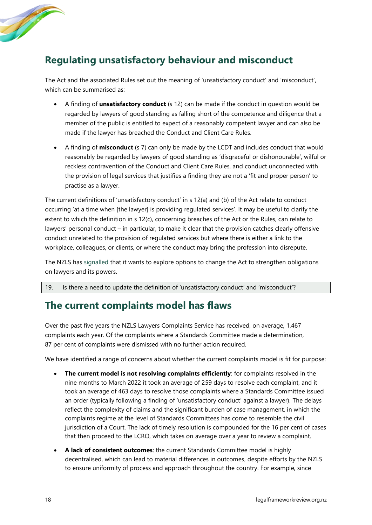

## **Regulating unsatisfactory behaviour and misconduct**

The Act and the associated Rules set out the meaning of 'unsatisfactory conduct' and 'misconduct', which can be summarised as:

- A finding of **unsatisfactory conduct** (s 12) can be made if the conduct in question would be regarded by lawyers of good standing as falling short of the competence and diligence that a member of the public is entitled to expect of a reasonably competent lawyer and can also be made if the lawyer has breached the Conduct and Client Care Rules.
- A finding of **misconduct** (s 7) can only be made by the LCDT and includes conduct that would reasonably be regarded by lawyers of good standing as 'disgraceful or dishonourable', wilful or reckless contravention of the Conduct and Client Care Rules, and conduct unconnected with the provision of legal services that justifies a finding they are not a 'fit and proper person' to practise as a lawyer.

The current definitions of 'unsatisfactory conduct' in s 12(a) and (b) of the Act relate to conduct occurring 'at a time when [the lawyer] is providing regulated services'. It may be useful to clarify the extent to which the definition in s 12(c), concerning breaches of the Act or the Rules, can relate to lawyers' personal conduct – in particular, to make it clear that the provision catches clearly offensive conduct unrelated to the provision of regulated services but where there is either a link to the workplace, colleagues, or clients, or where the conduct may bring the profession into disrepute.

The NZLS has [signalled](https://www.lawsociety.org.nz/news/law-society-statements/new-rules-governing-lawyers-behaviour-from-1-july/) that it wants to explore options to change the Act to strengthen obligations on lawyers and its powers.

19. Is there a need to update the definition of 'unsatisfactory conduct' and 'misconduct'?

## **The current complaints model has flaws**

Over the past five years the NZLS Lawyers Complaints Service has received, on average, 1,467 complaints each year. Of the complaints where a Standards Committee made a determination, 87 per cent of complaints were dismissed with no further action required.

We have identified a range of concerns about whether the current complaints model is fit for purpose:

- **The current model is not resolving complaints efficiently**: for complaints resolved in the nine months to March 2022 it took an average of 259 days to resolve each complaint, and it took an average of 463 days to resolve those complaints where a Standards Committee issued an order (typically following a finding of 'unsatisfactory conduct' against a lawyer). The delays reflect the complexity of claims and the significant burden of case management, in which the complaints regime at the level of Standards Committees has come to resemble the civil jurisdiction of a Court. The lack of timely resolution is compounded for the 16 per cent of cases that then proceed to the LCRO, which takes on average over a year to review a complaint.
- **A lack of consistent outcomes**: the current Standards Committee model is highly decentralised, which can lead to material differences in outcomes, despite efforts by the NZLS to ensure uniformity of process and approach throughout the country. For example, since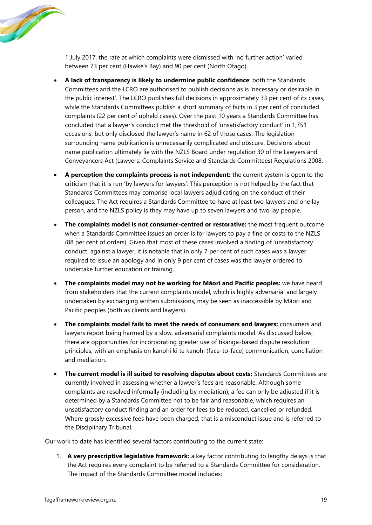**Contract Contract Contract Contract Contract Contract Contract Contract Contract Contract Contract Contract C** 

1 July 2017, the rate at which complaints were dismissed with 'no further action' varied between 73 per cent (Hawke's Bay) and 90 per cent (North Otago).

- **A lack of transparency is likely to undermine public confidence**: both the Standards Committees and the LCRO are authorised to publish decisions as is 'necessary or desirable in the public interest'. The LCRO publishes full decisions in approximately 33 per cent of its cases, while the Standards Committees publish a short summary of facts in 3 per cent of concluded complaints (22 per cent of upheld cases). Over the past 10 years a Standards Committee has concluded that a lawyer's conduct met the threshold of 'unsatisfactory conduct' in 1,751 occasions, but only disclosed the lawyer's name in 62 of those cases. The legislation surrounding name publication is unnecessarily complicated and obscure. Decisions about name publication ultimately lie with the NZLS Board under regulation 30 of the Lawyers and Conveyancers Act (Lawyers: Complaints Service and Standards Committees) Regulations 2008.
- **A perception the complaints process is not independent:** the current system is open to the criticism that it is run 'by lawyers for lawyers'. This perception is not helped by the fact that Standards Committees may comprise local lawyers adjudicating on the conduct of their colleagues. The Act requires a Standards Committee to have at least two lawyers and one lay person, and the NZLS policy is they may have up to seven lawyers and two lay people.
- **The complaints model is not consumer-centred or restorative:** the most frequent outcome when a Standards Committee issues an order is for lawyers to pay a fine or costs to the NZLS (88 per cent of orders). Given that most of these cases involved a finding of 'unsatisfactory conduct' against a lawyer, it is notable that in only 7 per cent of such cases was a lawyer required to issue an apology and in only 9 per cent of cases was the lawyer ordered to undertake further education or training.
- **The complaints model may not be working for Māori and Pacific peoples:** we have heard from stakeholders that the current complaints model, which is highly adversarial and largely undertaken by exchanging written submissions, may be seen as inaccessible by Māori and Pacific peoples (both as clients and lawyers).
- **The complaints model fails to meet the needs of consumers and lawyers:** consumers and lawyers report being harmed by a slow, adversarial complaints model. As discussed below, there are opportunities for incorporating greater use of tikanga-based dispute resolution principles, with an emphasis on kanohi ki te kanohi (face-to-face) communication, conciliation and mediation.
- **The current model is ill suited to resolving disputes about costs:** Standards Committees are currently involved in assessing whether a lawyer's fees are reasonable. Although some complaints are resolved informally (including by mediation), a fee can only be adjusted if it is determined by a Standards Committee not to be fair and reasonable, which requires an unsatisfactory conduct finding and an order for fees to be reduced, cancelled or refunded. Where grossly excessive fees have been charged, that is a misconduct issue and is referred to the Disciplinary Tribunal.

Our work to date has identified several factors contributing to the current state:

1. **A very prescriptive legislative framework:** a key factor contributing to lengthy delays is that the Act requires every complaint to be referred to a Standards Committee for consideration. The impact of the Standards Committee model includes: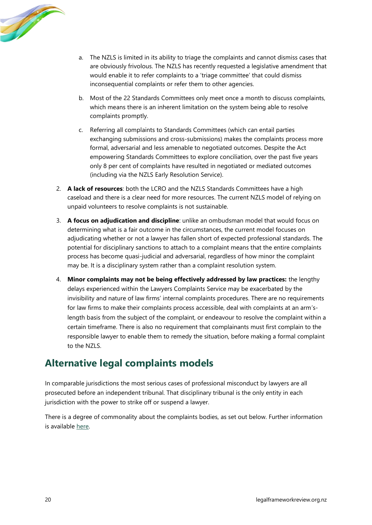

- a. The NZLS is limited in its ability to triage the complaints and cannot dismiss cases that are obviously frivolous. The NZLS has recently requested a legislative amendment that would enable it to refer complaints to a 'triage committee' that could dismiss inconsequential complaints or refer them to other agencies.
- b. Most of the 22 Standards Committees only meet once a month to discuss complaints, which means there is an inherent limitation on the system being able to resolve complaints promptly.
- c. Referring all complaints to Standards Committees (which can entail parties exchanging submissions and cross-submissions) makes the complaints process more formal, adversarial and less amenable to negotiated outcomes. Despite the Act empowering Standards Committees to explore conciliation, over the past five years only 8 per cent of complaints have resulted in negotiated or mediated outcomes (including via the NZLS Early Resolution Service).
- 2. **A lack of resources**: both the LCRO and the NZLS Standards Committees have a high caseload and there is a clear need for more resources. The current NZLS model of relying on unpaid volunteers to resolve complaints is not sustainable.
- 3. **A focus on adjudication and discipline**: unlike an ombudsman model that would focus on determining what is a fair outcome in the circumstances, the current model focuses on adjudicating whether or not a lawyer has fallen short of expected professional standards. The potential for disciplinary sanctions to attach to a complaint means that the entire complaints process has become quasi-judicial and adversarial, regardless of how minor the complaint may be. It is a disciplinary system rather than a complaint resolution system.
- 4. **Minor complaints may not be being effectively addressed by law practices:** the lengthy delays experienced within the Lawyers Complaints Service may be exacerbated by the invisibility and nature of law firms' internal complaints procedures. There are no requirements for law firms to make their complaints process accessible, deal with complaints at an arm'slength basis from the subject of the complaint, or endeavour to resolve the complaint within a certain timeframe. There is also no requirement that complainants must first complain to the responsible lawyer to enable them to remedy the situation, before making a formal complaint to the NZLS.

## **Alternative legal complaints models**

In comparable jurisdictions the most serious cases of professional misconduct by lawyers are all prosecuted before an independent tribunal. That disciplinary tribunal is the only entity in each jurisdiction with the power to strike off or suspend a lawyer.

There is a degree of commonality about the complaints bodies, as set out below. Further information is available [here.](https://legalframeworkreview.org.nz/wp-content/uploads/2022/06/WP8-complaints-models.pdf)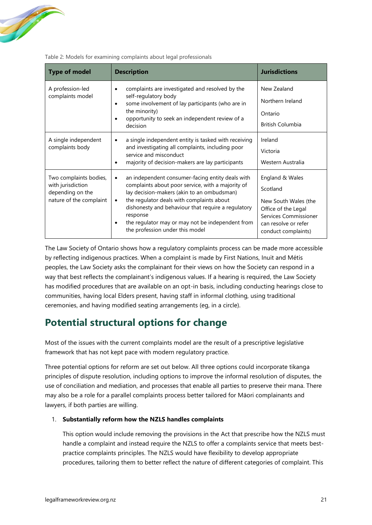

| <b>Type of model</b>                                                                       | <b>Description</b>                                                                                                                                                                                                                                                                                                                                                                  | <b>Jurisdictions</b>                                                                                                                               |
|--------------------------------------------------------------------------------------------|-------------------------------------------------------------------------------------------------------------------------------------------------------------------------------------------------------------------------------------------------------------------------------------------------------------------------------------------------------------------------------------|----------------------------------------------------------------------------------------------------------------------------------------------------|
| A profession-led<br>complaints model                                                       | complaints are investigated and resolved by the<br>$\bullet$<br>self-regulatory body<br>some involvement of lay participants (who are in<br>the minority)<br>opportunity to seek an independent review of a<br>decision                                                                                                                                                             | New Zealand<br>Northern Ireland<br>Ontario<br>British Columbia                                                                                     |
| A single independent<br>complaints body                                                    | a single independent entity is tasked with receiving<br>$\bullet$<br>and investigating all complaints, including poor<br>service and misconduct<br>majority of decision-makers are lay participants<br>٠                                                                                                                                                                            | Ireland<br>Victoria<br>Western Australia                                                                                                           |
| Two complaints bodies,<br>with jurisdiction<br>depending on the<br>nature of the complaint | an independent consumer-facing entity deals with<br>$\bullet$<br>complaints about poor service, with a majority of<br>lay decision-makers (akin to an ombudsman)<br>the regulator deals with complaints about<br>$\bullet$<br>dishonesty and behaviour that require a regulatory<br>response<br>the regulator may or may not be independent from<br>the profession under this model | England & Wales<br>Scotland<br>New South Wales (the<br>Office of the Legal<br>Services Commissioner<br>can resolve or refer<br>conduct complaints) |

Table 2: Models for examining complaints about legal professionals

The Law Society of Ontario shows how a regulatory complaints process can be made more accessible by reflecting indigenous practices. When a complaint is made by First Nations, Inuit and Métis peoples, the Law Society asks the complainant for their views on how the Society can respond in a way that best reflects the complainant's indigenous values. If a hearing is required, the Law Society has modified procedures that are available on an opt-in basis, including conducting hearings close to communities, having local Elders present, having staff in informal clothing, using traditional ceremonies, and having modified seating arrangements (eg, in a circle).

## **Potential structural options for change**

Most of the issues with the current complaints model are the result of a prescriptive legislative framework that has not kept pace with modern regulatory practice.

Three potential options for reform are set out below. All three options could incorporate tikanga principles of dispute resolution, including options to improve the informal resolution of disputes, the use of conciliation and mediation, and processes that enable all parties to preserve their mana. There may also be a role for a parallel complaints process better tailored for Māori complainants and lawyers, if both parties are willing.

#### 1. **Substantially reform how the NZLS handles complaints**

This option would include removing the provisions in the Act that prescribe how the NZLS must handle a complaint and instead require the NZLS to offer a complaints service that meets [best](https://www.mbie.govt.nz/cross-government-functions/government-centre-for-dispute-resolution/dispute-resolution-tools-and-resources/aotearoa-best-practice-dispute-resolution-framework/)[practice](https://www.mbie.govt.nz/cross-government-functions/government-centre-for-dispute-resolution/dispute-resolution-tools-and-resources/aotearoa-best-practice-dispute-resolution-framework/) complaints principles. The NZLS would have flexibility to develop appropriate procedures, tailoring them to better reflect the nature of different categories of complaint. This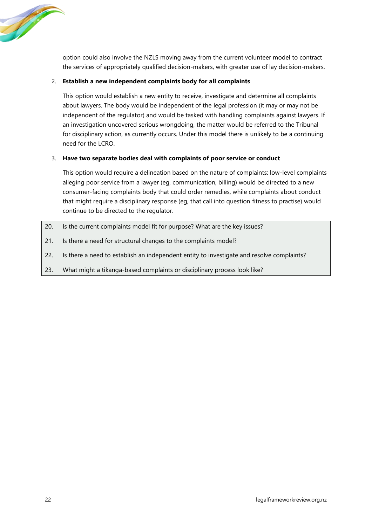

option could also involve the NZLS moving away from the current volunteer model to contract the services of appropriately qualified decision-makers, with greater use of lay decision-makers.

#### 2. **Establish a new independent complaints body for all complaints**

This option would establish a new entity to receive, investigate and determine all complaints about lawyers. The body would be independent of the legal profession (it may or may not be independent of the regulator) and would be tasked with handling complaints against lawyers. If an investigation uncovered serious wrongdoing, the matter would be referred to the Tribunal for disciplinary action, as currently occurs. Under this model there is unlikely to be a continuing need for the LCRO.

#### 3. **Have two separate bodies deal with complaints of poor service or conduct**

This option would require a delineation based on the nature of complaints: low-level complaints alleging poor service from a lawyer (eg, communication, billing) would be directed to a new consumer-facing complaints body that could order remedies, while complaints about conduct that might require a disciplinary response (eg, that call into question fitness to practise) would continue to be directed to the regulator.

- 20. Is the current complaints model fit for purpose? What are the key issues?
- 21. Is there a need for structural changes to the complaints model?
- 22. Is there a need to establish an independent entity to investigate and resolve complaints?
- 23. What might a tikanga-based complaints or disciplinary process look like?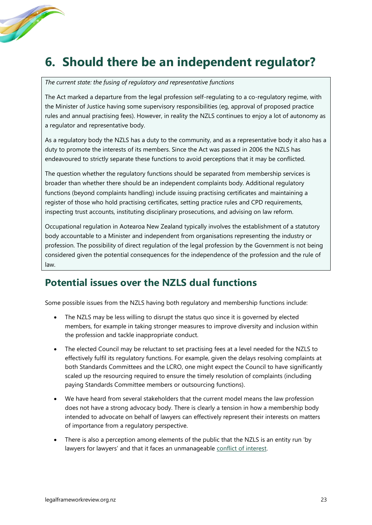# <span id="page-26-0"></span>**6. Should there be an independent regulator?**

*The current state: the fusing of regulatory and representative functions*

The Act marked a departure from the legal profession self-regulating to a co-regulatory regime, with the Minister of Justice having some supervisory responsibilities (eg, approval of proposed practice rules and annual practising fees). However, in reality the NZLS continues to enjoy a lot of autonomy as a regulator and representative body.

As a regulatory body the NZLS has a duty to the community, and as a representative body it also has a duty to promote the interests of its members. Since the Act was passed in 2006 the NZLS has endeavoured to strictly separate these functions to avoid perceptions that it may be conflicted.

The question whether the regulatory functions should be separated from membership services is broader than whether there should be an independent complaints body. Additional regulatory functions (beyond complaints handling) include issuing practising certificates and maintaining a register of those who hold practising certificates, setting practice rules and CPD requirements, inspecting trust accounts, instituting disciplinary prosecutions, and advising on law reform.

Occupational regulation in Aotearoa New Zealand typically involves the establishment of a statutory body accountable to a Minister and independent from organisations representing the industry or profession. The possibility of direct regulation of the legal profession by the Government is not being considered given the potential consequences for the independence of the profession and the rule of law.

## **Potential issues over the NZLS dual functions**

Some possible issues from the NZLS having both regulatory and membership functions include:

- The NZLS may be less willing to disrupt the status quo since it is governed by elected members, for example in taking stronger measures to improve diversity and inclusion within the profession and tackle inappropriate conduct.
- The elected Council may be reluctant to set practising fees at a level needed for the NZLS to effectively fulfil its regulatory functions. For example, given the delays resolving complaints at both Standards Committees and the LCRO, one might expect the Council to have significantly scaled up the resourcing required to ensure the timely resolution of complaints (including paying Standards Committee members or outsourcing functions).
- We have heard from several stakeholders that the current model means the law profession does not have a strong advocacy body. There is clearly a tension in how a membership body intended to advocate on behalf of lawyers can effectively represent their interests on matters of importance from a regulatory perspective.
- There is also a perception among elements of the public that the NZLS is an entity run 'by lawyers for lawyers' and that it faces an unmanageable [conflict of interest.](https://www.rnz.co.nz/news/national/445520/tougher-deterrent-needed-over-sexual-harassment-in-law-firms-former-lawyer)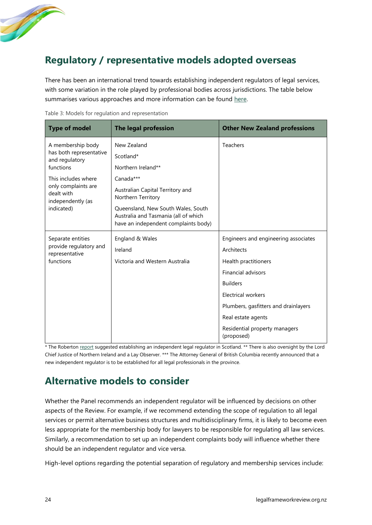

## **Regulatory / representative models adopted overseas**

There has been an international trend towards establishing independent regulators of legal services, with some variation in the role played by professional bodies across jurisdictions. The table below summarises various approaches and more information can be found [here.](https://legalframeworkreview.org.nz/wp-content/uploads/2022/06/WP9-approaches-to-regulation-and-representation.pdf)

| <b>Type of model</b>                                   | The legal profession                                                                                               | <b>Other New Zealand professions</b>        |
|--------------------------------------------------------|--------------------------------------------------------------------------------------------------------------------|---------------------------------------------|
| A membership body                                      | New Zealand                                                                                                        | <b>Teachers</b>                             |
| has both representative<br>and regulatory              | Scotland*                                                                                                          |                                             |
| functions                                              | Northern Ireland**                                                                                                 |                                             |
| This includes where                                    | Canada***                                                                                                          |                                             |
| only complaints are<br>dealt with<br>independently (as | Australian Capital Territory and<br>Northern Territory                                                             |                                             |
| indicated)                                             | Queensland, New South Wales, South<br>Australia and Tasmania (all of which<br>have an independent complaints body) |                                             |
| Separate entities                                      | England & Wales                                                                                                    | Engineers and engineering associates        |
| provide regulatory and<br>representative               | Ireland                                                                                                            | Architects                                  |
| functions                                              | Victoria and Western Australia                                                                                     | Health practitioners                        |
|                                                        |                                                                                                                    | <b>Financial advisors</b>                   |
|                                                        |                                                                                                                    | <b>Builders</b>                             |
|                                                        |                                                                                                                    | Electrical workers                          |
|                                                        |                                                                                                                    | Plumbers, gasfitters and drainlayers        |
|                                                        |                                                                                                                    | Real estate agents                          |
|                                                        |                                                                                                                    | Residential property managers<br>(proposed) |

Table 3: Models for regulation and representation

\* The Roberton [report](https://www.gov.scot/publications/review-of-legal-services-independent-report/) suggested establishing an independent legal regulator in Scotland. \*\* There is also oversight by the Lord Chief Justice of Northern Ireland and a Lay Observer. \*\*\* The Attorney General of British Columbia recently announced that a new independent regulator is to be established for all legal professionals in the province.

## **Alternative models to consider**

Whether the Panel recommends an independent regulator will be influenced by decisions on other aspects of the Review. For example, if we recommend extending the scope of regulation to all legal services or permit alternative business structures and multidisciplinary firms, it is likely to become even less appropriate for the membership body for lawyers to be responsible for regulating all law services. Similarly, a recommendation to set up an independent complaints body will influence whether there should be an independent regulator and vice versa.

High-level options regarding the potential separation of regulatory and membership services include: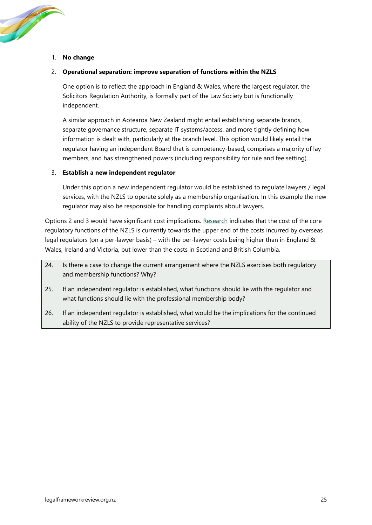#### 1. **No change**

**Contract Contract Contract Contract Contract Contract Contract Contract Contract Contract Contract Contract C** 

#### 2. **Operational separation: improve separation of functions within the NZLS**

One option is to reflect the approach in England & Wales, where the largest regulator, the Solicitors Regulation Authority, is formally part of the Law Society but is functionally independent.

A similar approach in Aotearoa New Zealand might entail establishing separate brands, separate governance structure, separate IT systems/access, and more tightly defining how information is dealt with, particularly at the branch level. This option would likely entail the regulator having an independent Board that is competency-based, comprises a majority of lay members, and has strengthened powers (including responsibility for rule and fee setting).

#### 3. **Establish a new independent regulator**

Under this option a new independent regulator would be established to regulate lawyers / legal services, with the NZLS to operate solely as a membership organisation. In this example the new regulator may also be responsible for handling complaints about lawyers.

Options 2 and 3 would have significant cost implications. [Research](https://legalframeworkreview.org.nz/wp-content/uploads/2022/06/WP10-the-cost-of-regulatory-services.pdf) indicates that the cost of the core regulatory functions of the NZLS is currently towards the upper end of the costs incurred by overseas legal regulators (on a per-lawyer basis) – with the per-lawyer costs being higher than in England & Wales, Ireland and Victoria, but lower than the costs in Scotland and British Columbia.

- 24. Is there a case to change the current arrangement where the NZLS exercises both regulatory and membership functions? Why?
- 25. If an independent regulator is established, what functions should lie with the regulator and what functions should lie with the professional membership body?
- 26. If an independent regulator is established, what would be the implications for the continued ability of the NZLS to provide representative services?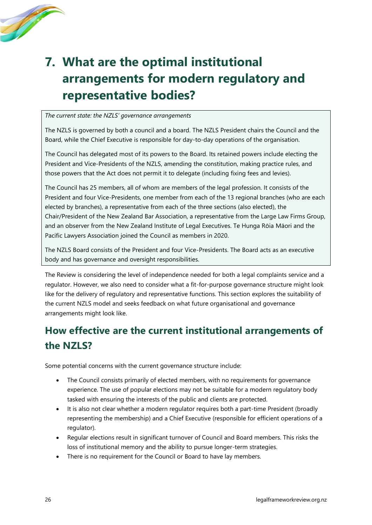

# <span id="page-29-0"></span>**7. What are the optimal institutional arrangements for modern regulatory and representative bodies?**

#### *The current state: the NZLS' governance arrangements*

The NZLS is governed by both a council and a board. The NZLS President chairs the Council and the Board, while the Chief Executive is responsible for day-to-day operations of the organisation.

The Council has delegated most of its powers to the Board. Its retained powers include electing the President and Vice-Presidents of the NZLS, amending the constitution, making practice rules, and those powers that the Act does not permit it to delegate (including fixing fees and levies).

The Council has 25 members, all of whom are members of the legal profession. It consists of the President and four Vice-Presidents, one member from each of the 13 regional branches (who are each elected by branches), a representative from each of the three sections (also elected), the Chair/President of the New Zealand Bar Association, a representative from the Large Law Firms Group, and an observer from the New Zealand Institute of Legal Executives. Te Hunga Rōia Māori and the Pacific Lawyers Association joined the Council as members in 2020.

The NZLS Board consists of the President and four Vice-Presidents. The Board acts as an executive body and has governance and oversight responsibilities.

The Review is considering the level of independence needed for both a legal complaints service and a regulator. However, we also need to consider what a fit-for-purpose governance structure might look like for the delivery of regulatory and representative functions. This section explores the suitability of the current NZLS model and seeks feedback on what future organisational and governance arrangements might look like.

# **How effective are the current institutional arrangements of the NZLS?**

Some potential concerns with the current governance structure include:

- The Council consists primarily of elected members, with no requirements for governance experience. The use of popular elections may not be suitable for a modern regulatory body tasked with ensuring the interests of the public and clients are protected.
- It is also not clear whether a modern regulator requires both a part-time President (broadly representing the membership) and a Chief Executive (responsible for efficient operations of a regulator).
- Regular elections result in significant turnover of Council and Board members. This risks the loss of institutional memory and the ability to pursue longer-term strategies.
- There is no requirement for the Council or Board to have lay members.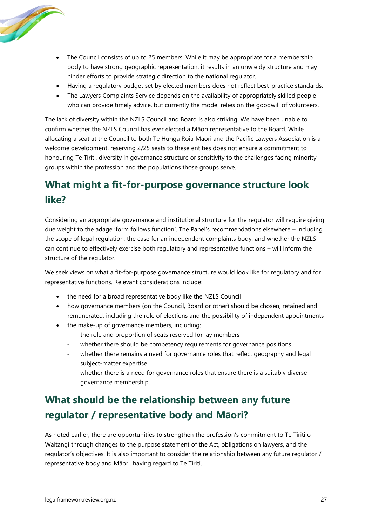

- The Council consists of up to 25 members. While it may be appropriate for a membership body to have strong geographic representation, it results in an unwieldy structure and may hinder efforts to provide strategic direction to the national regulator.
- Having a regulatory budget set by elected members does not reflect best-practice standards.
- The Lawyers Complaints Service depends on the availability of appropriately skilled people who can provide timely advice, but currently the model relies on the goodwill of volunteers.

The lack of diversity within the NZLS Council and Board is also striking. We have been unable to confirm whether the NZLS Council has ever elected a Māori representative to the Board. While allocating a seat at the Council to both Te Hunga Rōia Māori and the Pacific Lawyers Association is a welcome development, reserving 2/25 seats to these entities does not ensure a commitment to honouring Te Tiriti, diversity in governance structure or sensitivity to the challenges facing minority groups within the profession and the populations those groups serve.

# **What might a fit-for-purpose governance structure look like?**

Considering an appropriate governance and institutional structure for the regulator will require giving due weight to the adage 'form follows function'. The Panel's recommendations elsewhere – including the scope of legal regulation, the case for an independent complaints body, and whether the NZLS can continue to effectively exercise both regulatory and representative functions – will inform the structure of the regulator.

We seek views on what a fit-for-purpose governance structure would look like for regulatory and for representative functions. Relevant considerations include:

- the need for a broad representative body like the NZLS Council
- how governance members (on the Council, Board or other) should be chosen, retained and remunerated, including the role of elections and the possibility of independent appointments
- the make-up of governance members, including:
	- the role and proportion of seats reserved for lay members
	- whether there should be competency requirements for governance positions
	- whether there remains a need for governance roles that reflect geography and legal subject-matter expertise
	- whether there is a need for governance roles that ensure there is a suitably diverse governance membership.

# **What should be the relationship between any future regulator / representative body and Māori?**

As noted earlier, there are opportunities to strengthen the profession's commitment to Te Tiriti o Waitangi through changes to the purpose statement of the Act, obligations on lawyers, and the regulator's objectives. It is also important to consider the relationship between any future regulator / representative body and Māori, having regard to Te Tiriti.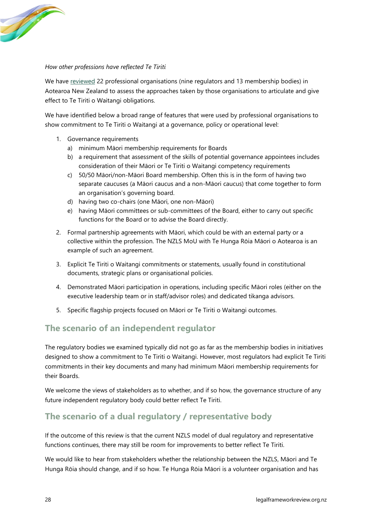

#### *How other professions have reflected Te Tiriti*

We have [reviewed](https://legalframeworkreview.org.nz/wp-content/uploads/2022/06/WP3-professional-organisations-and-Te-Tiriti.pdf) 22 professional organisations (nine regulators and 13 membership bodies) in Aotearoa New Zealand to assess the approaches taken by those organisations to articulate and give effect to Te Tiriti o Waitangi obligations.

We have identified below a broad range of features that were used by professional organisations to show commitment to Te Tiriti o Waitangi at a governance, policy or operational level:

- 1. Governance requirements
	- a) minimum Māori membership requirements for Boards
	- b) a requirement that assessment of the skills of potential governance appointees includes consideration of their Māori or Te Tiriti o Waitangi competency requirements
	- c) 50/50 Māori/non-Māori Board membership. Often this is in the form of having two separate caucuses (a Māori caucus and a non-Māori caucus) that come together to form an organisation's governing board.
	- d) having two co-chairs (one Māori, one non-Māori)
	- e) having Māori committees or sub-committees of the Board, either to carry out specific functions for the Board or to advise the Board directly.
- 2. Formal partnership agreements with Māori, which could be with an external party or a collective within the profession. The NZLS MoU with Te Hunga Rōia Māori o Aotearoa is an example of such an agreement.
- 3. Explicit Te Tiriti o Waitangi commitments or statements, usually found in constitutional documents, strategic plans or organisational policies.
- 4. Demonstrated Māori participation in operations, including specific Māori roles (either on the executive leadership team or in staff/advisor roles) and dedicated tikanga advisors.
- 5. Specific flagship projects focused on Māori or Te Tiriti o Waitangi outcomes.

### **The scenario of an independent regulator**

The regulatory bodies we examined typically did not go as far as the membership bodies in initiatives designed to show a commitment to Te Tiriti o Waitangi. However, most regulators had explicit Te Tiriti commitments in their key documents and many had minimum Māori membership requirements for their Boards.

We welcome the views of stakeholders as to whether, and if so how, the governance structure of any future independent regulatory body could better reflect Te Tiriti.

### **The scenario of a dual regulatory / representative body**

If the outcome of this review is that the current NZLS model of dual regulatory and representative functions continues, there may still be room for improvements to better reflect Te Tiriti.

We would like to hear from stakeholders whether the relationship between the NZLS, Māori and Te Hunga Rōia should change, and if so how. Te Hunga Rōia Māori is a volunteer organisation and has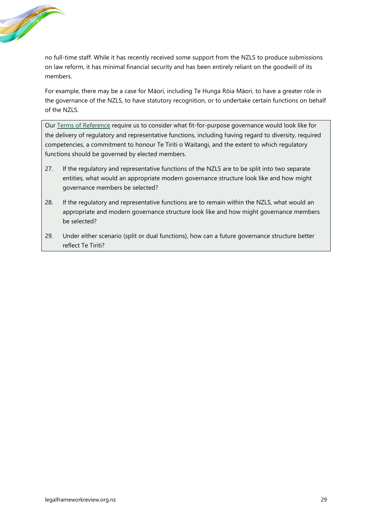

no full-time staff. While it has recently received some support from the NZLS to produce submissions on law reform, it has minimal financial security and has been entirely reliant on the goodwill of its members.

For example, there may be a case for Māori, including Te Hunga Rōia Māori, to have a greater role in the governance of the NZLS, to have statutory recognition, or to undertake certain functions on behalf of the NZLS.

Our [Terms of Reference](https://legalframeworkreview.org.nz/terms-of-reference/) require us to consider what fit-for-purpose governance would look like for the delivery of regulatory and representative functions, including having regard to diversity, required competencies, a commitment to honour Te Tiriti o Waitangi, and the extent to which regulatory functions should be governed by elected members.

- 27. If the regulatory and representative functions of the NZLS are to be split into two separate entities, what would an appropriate modern governance structure look like and how might governance members be selected?
- 28. If the regulatory and representative functions are to remain within the NZLS, what would an appropriate and modern governance structure look like and how might governance members be selected?
- 29. Under either scenario (split or dual functions), how can a future governance structure better reflect Te Tiriti?